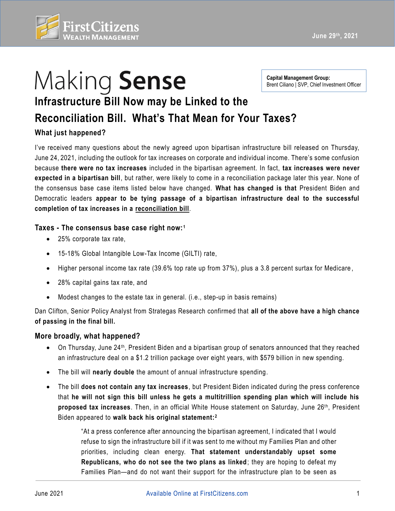

# Making Sense

**June 29th, 2021** 

**Capital Management Group:**  Brent Ciliano | SVP, Chief Investment Officer

## **Infrastructure Bill Now may be Linked to the**

### **Reconciliation Bill. What's That Mean for Your Taxes?**

#### **What just happened?**

I've received many questions about the newly agreed upon bipartisan infrastructure bill released on Thursday, June 24, 2021, including the outlook for tax increases on corporate and individual income. There's some confusion because **there were no tax increases** included in the bipartisan agreement. In fact, **tax increases were never expected in a bipartisan bill**, but rather, were likely to come in a reconciliation package later this year. None of the consensus base case items listed below have changed. **What has changed is that** President Biden and Democratic leaders **appear to be tying passage of a bipartisan infrastructure deal to the successful completion of tax increases in a reconciliation bill**.

#### **Taxes - The consensus base case right now: <sup>1</sup>**

- 25% corporate tax rate,
- 15-18% Global Intangible Low-Tax Income (GILTI) rate,
- Higher personal income tax rate (39.6% top rate up from 37%), plus a 3.8 percent surtax for Medicare ,
- 28% capital gains tax rate, and
- Modest changes to the estate tax in general. (i.e., step-up in basis remains)

 Dan Clifton, Senior Policy Analyst from Strategas Research confirmed that **all of the above have a high chance of passing in the final bill.** 

#### **More broadly, what happened?**

- On Thursday, June 24<sup>th</sup>, President Biden and a bipartisan group of senators announced that they reached an infrastructure deal on a \$1.2 trillion package over eight years, with \$579 billion in new spending.
- The bill will **nearly double** the amount of annual infrastructure spending.
- The bill **does not contain any tax increases**, but President Biden indicated during the press conference that **he will not sign this bill unless he gets a multitrillion spending plan which will include his proposed tax increases**. Then, in an official White House statement on Saturday, June 26th, President Biden appeared to **walk back his original statement:2**

"At a press conference after announcing the bipartisan agreement, I indicated that I would refuse to sign the infrastructure bill if it was sent to me without my Families Plan and other priorities, including clean energy. **That statement understandably upset some Republicans, who do not see the two plans as linked;** they are hoping to defeat my Families Plan—and do not want their support for the infrastructure plan to be seen as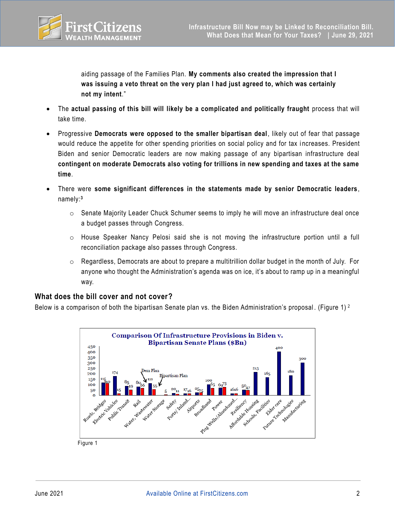

 aiding passage of the Families Plan. **My comments also created the impression that I was issuing a veto threat on the very plan I had just agreed to, which was certainly not my intent**."

- The **actual passing of this bill will likely be a complicated and politically fraught** process that will take time.
- Progressive **Democrats were opposed to the smaller bipartisan deal**, likely out of fear that passage would reduce the appetite for other spending priorities on social policy and for tax i ncreases. President Biden and senior Democratic leaders are now making passage of any bipartisan infrastructure deal **contingent on moderate Democrats also voting for trillions in new spending and taxes at the same time**.
- • There were **some significant differences in the statements made by senior Democratic leaders**, namely:**<sup>3</sup>**
	- $\circ$  Senate Majority Leader Chuck Schumer seems to imply he will move an infrastructure deal once a budget passes through Congress.
	- o House Speaker Nancy Pelosi said she is not moving the infrastructure portion until a full reconciliation package also passes through Congress.
	- o Regardless, Democrats are about to prepare a multitrillion dollar budget in the month of July. For anyone who thought the Administration's agenda was on ice, it's about to ramp up in a meaningful way.

#### **What does the bill cover and not cover?**

Below is a comparison of both the bipartisan Senate plan vs. the Biden Administration's proposal. (Figure 1)  $^2$ 



Figure 1